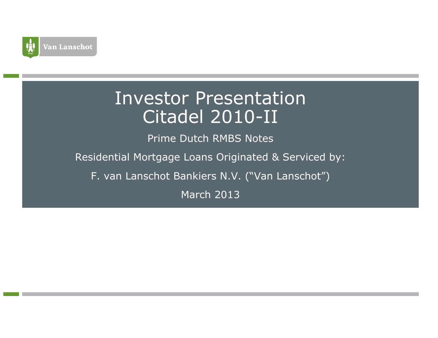

# Investor PresentationCitadel 2010-II

Prime Dutch RMBS Notes

Residential Mortgage Loans Originated & Serviced by:

F. van Lanschot Bankiers N.V. ("Van Lanschot")

March 2013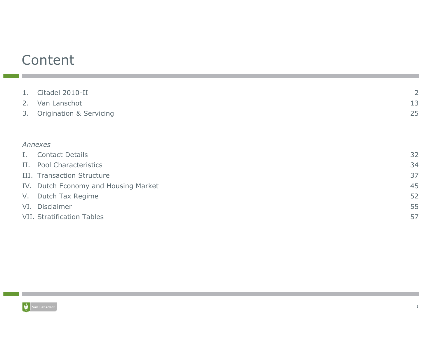# Content

| 1.          | Citadel 2010-II                      | $\overline{2}$ |
|-------------|--------------------------------------|----------------|
| 2.          | Van Lanschot                         | 13             |
| 3.          | <b>Origination &amp; Servicing</b>   | 25             |
|             |                                      |                |
|             |                                      |                |
|             | Annexes                              |                |
| $I_{\star}$ | <b>Contact Details</b>               | 32             |
|             | II. Pool Characteristics             | 34             |
|             | III. Transaction Structure           | 37             |
|             | IV. Dutch Economy and Housing Market | 45             |
|             | V. Dutch Tax Regime                  | 52             |
|             | VI. Disclaimer                       | 55             |
|             | <b>VII. Stratification Tables</b>    | 57             |
|             |                                      |                |

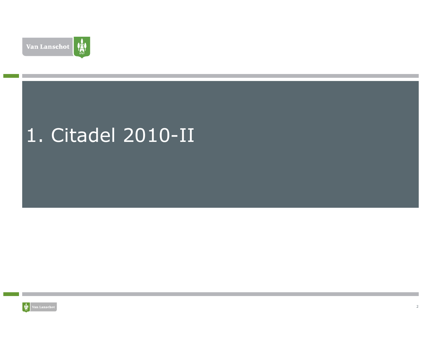

# 1. Citadel 2010-II

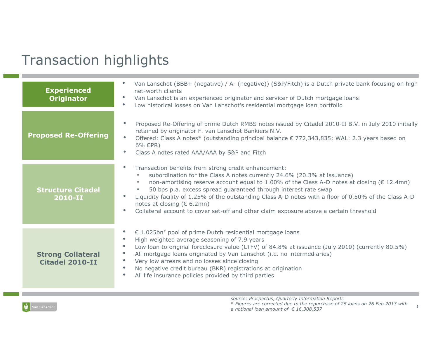# Transaction highlights

| <b>Experienced</b><br><b>Originator</b>            | Van Lanschot (BBB+ (negative) / A- (negative)) (S&P/Fitch) is a Dutch private bank focusing on high<br>net-worth clients<br>Van Lanschot is an experienced originator and servicer of Dutch mortgage loans<br>Low historical losses on Van Lanschot's residential mortgage loan portfolio                                                                                                                                                                                                                                                                                                    |
|----------------------------------------------------|----------------------------------------------------------------------------------------------------------------------------------------------------------------------------------------------------------------------------------------------------------------------------------------------------------------------------------------------------------------------------------------------------------------------------------------------------------------------------------------------------------------------------------------------------------------------------------------------|
| <b>Proposed Re-Offering</b>                        | Proposed Re-Offering of prime Dutch RMBS notes issued by Citadel 2010-II B.V. in July 2010 initially<br>$\bullet$<br>retained by originator F. van Lanschot Bankiers N.V.<br>Offered: Class A notes* (outstanding principal balance € 772,343,835; WAL: 2.3 years based on<br>$\bullet$<br>6% CPR)<br>$\bullet$<br>Class A notes rated AAA/AAA by S&P and Fitch                                                                                                                                                                                                                              |
| <b>Structure Citadel</b><br>2010-II                | Transaction benefits from strong credit enhancement:<br>$\bullet$<br>subordination for the Class A notes currently 24.6% (20.3% at issuance)<br>non-amortising reserve account equal to 1.00% of the Class A-D notes at closing ( $\epsilon$ 12.4mn)<br>50 bps p.a. excess spread guaranteed through interest rate swap<br>Liquidity facility of 1.25% of the outstanding Class A-D notes with a floor of 0.50% of the Class A-D<br>$\bullet$<br>notes at closing ( $\epsilon$ 6.2mn)<br>Collateral account to cover set-off and other claim exposure above a certain threshold<br>$\bullet$ |
| <b>Strong Collateral</b><br><b>Citadel 2010-II</b> | € 1.025bn* pool of prime Dutch residential mortgage loans<br>$\bullet$<br>High weighted average seasoning of 7.9 years<br>$\bullet$<br>Low loan to original foreclosure value (LTFV) of 84.8% at issuance (July 2010) (currently 80.5%)<br>$\bullet$<br>All mortgage loans originated by Van Lanschot (i.e. no intermediaries)<br>$\bullet$<br>Very low arrears and no losses since closing<br>$\bullet$<br>No negative credit bureau (BKR) registrations at origination<br>$\bullet$<br>$\bullet$<br>All life insurance policies provided by third parties                                  |

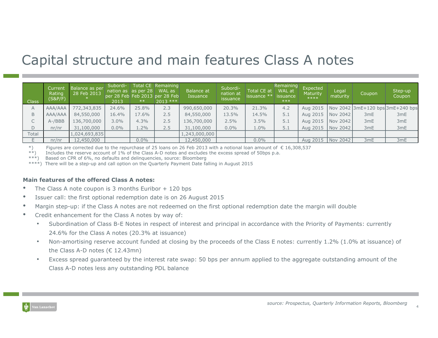### Capital structure and main features Class A notes

| Class  | Current<br>Rating<br>(S&P/F) | <b>Balance as per</b><br>28 Feb 2013 | Subordi-<br>2013 | nation as $ $ as per 28<br>$***$ | Total CE Remaining<br>WAL as<br>per 28 Feb Feb 2013 per 28 Feb<br>$2013$ *** | Balance at<br>Issuance | Subordi-<br>nation at<br>issuance | Total CE at<br>issuance ** | Remaining<br>WAL at<br>issuance<br>$***$ | Expected<br>Maturity<br>$****$ | Legal<br>maturity | Coupon          | Step-up<br>Coupon                |
|--------|------------------------------|--------------------------------------|------------------|----------------------------------|------------------------------------------------------------------------------|------------------------|-----------------------------------|----------------------------|------------------------------------------|--------------------------------|-------------------|-----------------|----------------------------------|
| A      | AAA/AAA                      | 772,343,835                          | 24.6%            | 25.8%                            | 2.3                                                                          | 990,650,000            | 20.3%                             | 21.3%                      | 4.2                                      | Aug 2015                       |                   |                 | Nov 2042 3mE+120 bps 3mE+240 bps |
| B.     | AAA/AAA                      | 84,550,000                           | 16.4%            | 17.6%                            | 2.5                                                                          | 84,550,000             | 13.5%                             | 14.5%                      | 5.1                                      | Aug 2015                       | Nov 2042          | 3 <sub>mE</sub> | 3mE                              |
|        | $A$ -/BBB                    | 136,700,000                          | 3.0%             | 4.3%                             | 2.5                                                                          | 136,700,000            | 2.5%                              | 3.5%                       | 5.1                                      | Aug 2015                       | Nov 2042          | 3mE             | 3mE                              |
| D      | nr/nr                        | 31,100,000                           | $0.0\%$          | $1.2\%$                          | 2.5                                                                          | 31,100,000             | $0.0\%$                           | 1.0%                       | 5.1                                      | Aug 2015                       | Nov 2042          | 3mE             | 3 <sub>mE</sub>                  |
| Total  |                              | 1,024,693,835                        |                  |                                  |                                                                              | 1,243,000,000          |                                   |                            |                                          |                                |                   |                 |                                  |
|        | nr/nr                        | 12,450,000                           |                  | $0.0\%$                          |                                                                              | 12,450,000             |                                   | $0.0\%$                    |                                          | Aug 2015   Nov 2042            |                   | 3mE             | 3mE                              |
| $-1.5$ |                              | .                                    |                  | $\sim$ $\sim$ $\sim$ $\sim$      |                                                                              |                        |                                   |                            |                                          |                                |                   |                 |                                  |

\*) Figures are corrected due to the repurchase of 25 loans on 26 Feb 2013 with a notional loan amount of € 16,308,537

\*\*) Includes the reserve account of 1% of the Class A-D notes and excludes the excess spread of 50bps p.a.

\*\*\*) Based on CPR of 6%, no defaults and delinquencies, source: Bloomberg

\*\*\*\*) There will be a step-up and call option on the Quarterly Payment Date falling in August 2015

#### Main features of the offered Class A notes:

- •The Class A note coupon is 3 months Euribor + 120 bps
- •Issuer call: the first optional redemption date is on 26 August 2015
- •Margin step-up: if the Class A notes are not redeemed on the first optional redemption date the margin will double
- • Credit enhancement for the Class A notes by way of:
	- • Subordination of Class B-E Notes in respect of interest and principal in accordance with the Priority of Payments: currently 24.6% for the Class A notes (20.3% at issuance)
	- • Non-amortising reserve account funded at closing by the proceeds of the Class E notes: currently 1.2% (1.0% at issuance) of the Class A-D notes  $(\epsilon 12.43mn)$
	- • Excess spread guaranteed by the interest rate swap: 50 bps per annum applied to the aggregate outstanding amount of the Class A-D notes less any outstanding PDL balance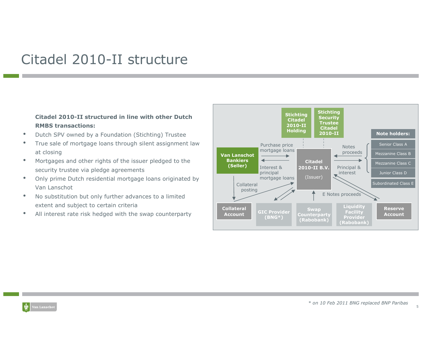### Citadel 2010-II structure

#### Citadel 2010-II structured in line with other DutchRMBS transactions:

- •Dutch SPV owned by a Foundation (Stichting) Trustee
- True sale of mortgage loans through silent assignment law  $\bullet$ at closing
- Mortgages and other rights of the issuer pledged to the •security trustee via pledge agreements
- • Only prime Dutch residential mortgage loans originated by Van Lanschot
- $\bullet$  No substitution but only further advances to a limited extent and subject to certain criteria
- All interest rate risk hedged with the swap counterparty $\bullet$

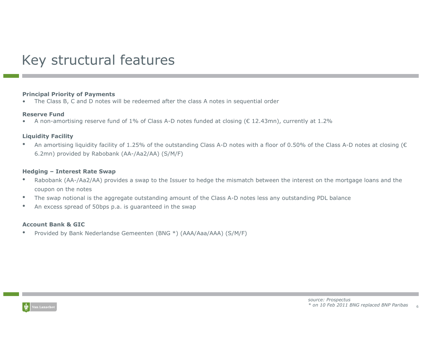# Key structural features

#### Principal Priority of Payments

 The Class B, C and D notes will be redeemed after the class A notes in sequential order •

#### Reserve Fund

A non-amortising reserve fund of 1% of Class A-D notes funded at closing ( $\epsilon$  12.43mn), currently at 1.2% •

#### Liquidity Facility

 An amortising liquidity facility of 1.25% of the outstanding Class A-D notes with a floor of 0.50% of the Class A-D notes at closing (€•6.2mn) provided by Rabobank (AA-/Aa2/AA) (S/M/F)

#### Hedging – Interest Rate Swap

- • Rabobank (AA-/Aa2/AA) provides a swap to the Issuer to hedge the mismatch between the interest on the mortgage loans and the coupon on the notes
- The swap notional is the aggregate outstanding amount of the Class A-D notes less any outstanding PDL balance•
- •An excess spread of 50bps p.a. is guaranteed in the swap

#### Account Bank & GIC

 Provided by Bank Nederlandse Gemeenten (BNG \*) (AAA/Aaa/AAA) (S/M/F) •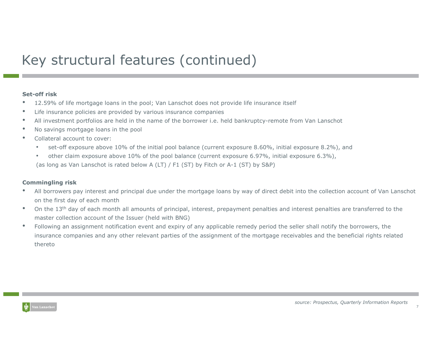# Key structural features (continued)

#### Set-off risk

- 12.59% of life mortgage loans in the pool; Van Lanschot does not provide life insurance itself •
- •Life insurance policies are provided by various insurance companies
- •All investment portfolios are held in the name of the borrower i.e. held bankruptcy-remote from Van Lanschot
- •No savings mortgage loans in the pool
- • Collateral account to cover:
	- $\bullet$ set-off exposure above 10% of the initial pool balance (current exposure 8.60%, initial exposure 8.2%), and
	- • other claim exposure above 10% of the pool balance (current exposure 6.97%, initial exposure 6.3%), (as long as Van Lanschot is rated below A (LT) / F1 (ST) by Fitch or A-1 (ST) by S&P)

#### Commingling risk

- All borrowers pay interest and principal due under the mortgage loans by way of direct debit into the collection account of Van Lanschot •on the first day of each month
- On the 13<sup>th</sup> day of each month all amounts of principal, interest, prepayment penalties and interest penalties are transferred to the •master collection account of the Issuer (held with BNG)
- • Following an assignment notification event and expiry of any applicable remedy period the seller shall notify the borrowers, theinsurance companies and any other relevant parties of the assignment of the mortgage receivables and the beneficial rights related thereto

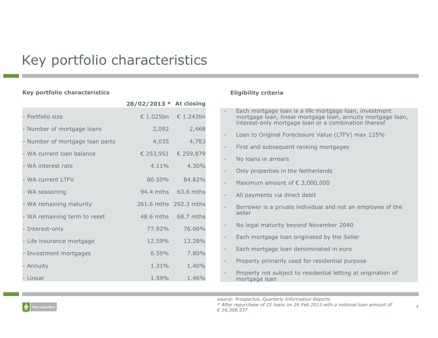# Key portfolio characteristics

#### Key portfolio characteristics

|                                 | 28/02/2013 * At closing |                     |
|---------------------------------|-------------------------|---------------------|
| - Portfolio size                |                         | € 1.025bn € 1.243bn |
| - Number of mortgage loans      | 2,092                   | 2,468               |
| - Number of mortgage loan parts | 4,035                   | 4,783               |
| - WA current loan balance       |                         | € 253,951 € 259,879 |
| - WA interest rate              | $4.11\%$                | 4.30%               |
| - WA current LTFV               |                         | 80.50% 84.82%       |
| - WA seasoning                  |                         | 94.4 mths 63.6 mths |
| - WA remaining maturity         | 261.6 mths 292.3 mths   |                     |
| - WA remaining term to reset    |                         | 48.6 mths 68.7 mths |
| - Interest-only                 | 77.92%                  | 76.06%              |
| - Life insurance mortgage       | 12.59%                  | 13.28%              |
| - Investment mortgages          | 6.59%                   | 7.80%               |
| - Annuity                       | 1.31%                   | 1.40%               |
| - Linear                        | 1.59%                   | 1.46%               |
|                                 |                         |                     |

#### Eligibility criteria

|                   | Each mortgage loan is a life mortgage loan, investment<br>mortgage loan, linear mortgage loan, annuity mortgage loan,<br>interest-only mortgage loan or a combination thereof |
|-------------------|-------------------------------------------------------------------------------------------------------------------------------------------------------------------------------|
|                   | Loan to Original Foreclosure Value (LTFV) max 125%                                                                                                                            |
|                   | First and subsequent ranking mortgages                                                                                                                                        |
| $\qquad \qquad -$ | No Joans in arrears                                                                                                                                                           |
|                   | Only properties in the Netherlands                                                                                                                                            |
| $\qquad \qquad -$ | Maximum amount of $\epsilon$ 3,000,000                                                                                                                                        |
| -                 | All payments via direct debit                                                                                                                                                 |
|                   | Borrower is a private individual and not an employee of the<br>seller                                                                                                         |
| $\qquad \qquad -$ | No legal maturity beyond November 2040                                                                                                                                        |
|                   | Each mortgage loan originated by the Seller                                                                                                                                   |
| -                 | Each mortgage loan denominated in euro                                                                                                                                        |
| -                 | Property primarily used for residential purpose                                                                                                                               |
|                   | Property not subject to residential letting at origination of<br>mortgage loan                                                                                                |

source: Prospectus, Quarterly Information Reports

 \* After repurchase of 25 loans on 26 Feb 2013 with a notional loan amount of € 16,308,537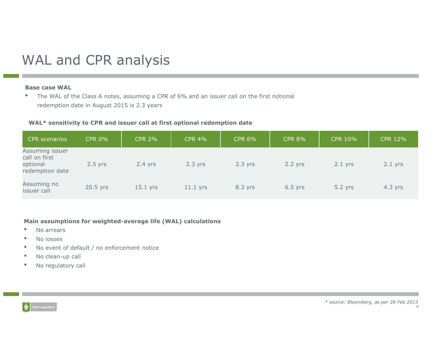# WAL and CPR analysis

#### Base case WAL

• The WAL of the Class A notes, assuming a CPR of 6% and an issuer call on the first notional •redemption date in August 2015 is 2.3 years

#### WAL\* sensitivity to CPR and issuer call at first optional redemption date

| CPR scenarios                                                   | <b>CPR 0%</b> | <b>CPR 2%</b> | <b>CPR 4%</b> | <b>CPR 6%</b> | <b>CPR 8%</b> | CPR 10%   | <b>CPR 12%</b> |
|-----------------------------------------------------------------|---------------|---------------|---------------|---------------|---------------|-----------|----------------|
| Assuming issuer<br>call on first<br>optional<br>redemption date | $2.5$ yrs     | $2.4$ yrs     | $2.3$ yrs     | $2.3$ yrs     | $2.2$ yrs     | $2.1$ yrs | $2.1$ yrs      |
| Assuming no<br>issuer call                                      | 20.5 yrs      | $15.1$ yrs    | $11.1$ yrs    | 8.3 yrs       | $6.5$ yrs     | $5.2$ yrs | $4.3$ yrs      |

#### Main assumptions for weighted-average life (WAL) calculations

- •No arrears
- •No losses
- •No event of default / no enforcement notice
- •No clean-up call
- •No regulatory call

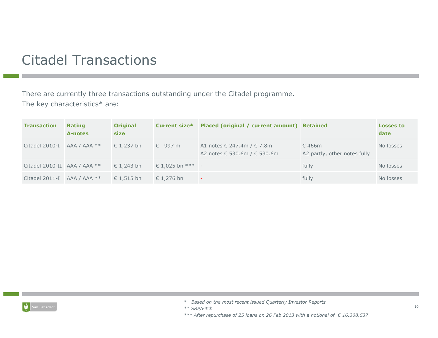# Citadel Transactions

There are currently three transactions outstanding under the Citadel programme. The key characteristics\* are:

| <b>Transaction</b>            | <b>Rating</b><br>A-notes | <b>Original</b><br>size | <b>Current size*</b> | Placed (original / current amount) Retained                  |                                                 | <b>Losses to</b><br>date |
|-------------------------------|--------------------------|-------------------------|----------------------|--------------------------------------------------------------|-------------------------------------------------|--------------------------|
| Citadel 2010-I AAA / AAA $**$ |                          | € 1,237 bn              | $\epsilon$ 997 m     | A1 notes € 247.4m / € 7.8m<br>A2 notes € 530.6m / $∈$ 530.6m | $\epsilon$ 466m<br>A2 partly, other notes fully | No losses                |
| Citadel 2010-II AAA / AAA **  |                          | € 1,243 bn              | € 1,025 bn $***$ -   |                                                              | fully                                           | No losses                |
| Citadel 2011-I AAA / AAA $**$ |                          | € 1,515 bn              | € 1,276 bn           | ۰                                                            | fully                                           | No losses                |



- \* Based on the most recent issued Quarterly Investor Reports
- \*\* S&P/Fitch

\*\*\* After repurchase of 25 loans on 26 Feb 2013 with a notional of  $\epsilon$  16,308,537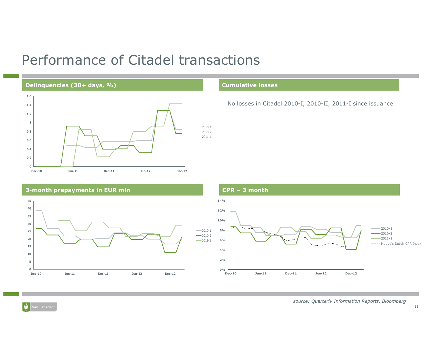### Performance of Citadel transactions

#### Delinquencies (30+ days, %) Cumulative losses



No losses in Citadel 2010-I, 2010-II, 2011-I since issuance





囐

source: Quarterly Information Reports, Bloomberg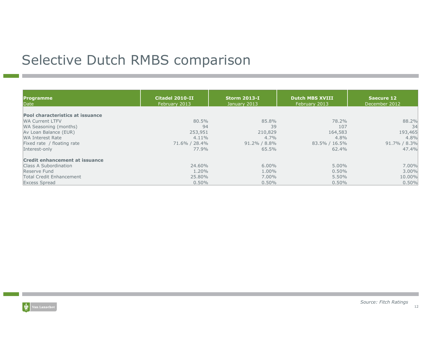# Selective Dutch RMBS comparison

| <b>Programme</b><br>Date                | Citadel 2010-II<br>February 2013 | <b>Storm 2013-I</b><br>January 2013 | <b>Dutch MBS XVIII</b><br>February 2013 | Saecure 12<br>December 2012 |
|-----------------------------------------|----------------------------------|-------------------------------------|-----------------------------------------|-----------------------------|
| <b>Pool characteristics at issuance</b> |                                  |                                     |                                         |                             |
| <b>WA Current LTFV</b>                  | 80.5%                            | 85.8%                               | 78.2%                                   | 88.2%                       |
| WA Seasoning (months)                   | 94                               | 39                                  | 107                                     | 34                          |
| Av Loan Balance (EUR)                   | 253,951                          | 210,829                             | 164,583                                 | 193,465                     |
| <b>WA Interest Rate</b>                 | $4.11\%$                         | $4.7\%$                             | 4.8%                                    | 4.8%                        |
| Fixed rate / floating rate              | 71.6% / 28.4%                    | $91.2\% / 8.8\%$                    | 83.5% / 16.5%                           | 91.7% / 8.3%                |
| Interest-only                           | 77.9%                            | 65.5%                               | 62.4%                                   | 47.4%                       |
| <b>Credit enhancement at issuance</b>   |                                  |                                     |                                         |                             |
| Class A Subordination                   | 24.60%                           | $6.00\%$                            | 5.00%                                   | 7.00%                       |
| Reserve Fund                            | $1.20\%$                         | 1.00%                               | $0.50\%$                                | 3.00%                       |
| <b>Total Credit Enhancement</b>         | 25.80%                           | $7.00\%$                            | 5.50%                                   | 10.00%                      |
| <b>Excess Spread</b>                    | 0.50%                            | $0.50\%$                            | $0.50\%$                                | 0.50%                       |

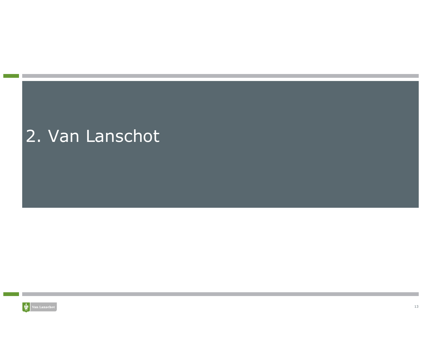# 2. Van Lanschot

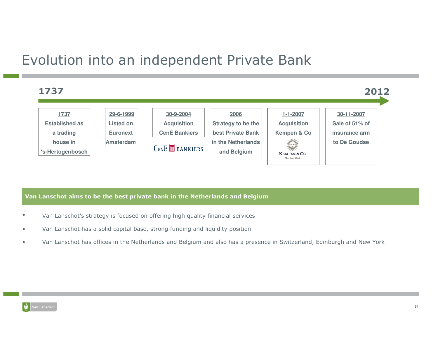## Evolution into an independent Private Bank



#### Van Lanschot aims to be the best private bank in the Netherlands and Belgium

- •Van Lanschot's strategy is focused on offering high quality financial services
- •Van Lanschot has a solid capital base, strong funding and liquidity position
- •Van Lanschot has offices in the Netherlands and Belgium and also has a presence in Switzerland, Edinburgh and New York

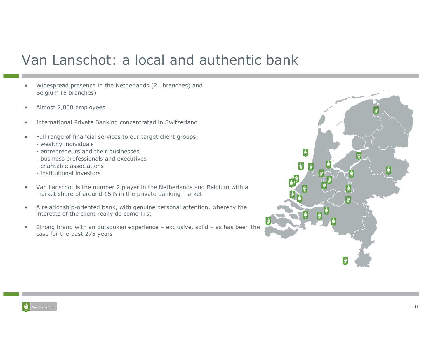## Van Lanschot: a local and authentic bank

- • Widespread presence in the Netherlands (21 branches) and Belgium (5 branches)
- •Almost 2,000 employees
- •International Private Banking concentrated in Switzerland
- • Full range of financial services to our target client groups:
	- wealthy individuals<br>- entrepreneurs and
	- entrepreneurs and their businesses<br>husiness prefecsionals and executiv
	- business professionals and executives<br>- charitable associations
	- charitable associations<br>- institutional investors
	- institutional investors
- $\bullet$  Van Lanschot is the number 2 player in the Netherlands and Belgium with a market share of around 15% in the private banking market
- $\bullet$  A relationship-oriented bank, with genuine personal attention, whereby the interests of the client really do come first
- • Strong brand with an outspoken experience – exclusive, solid – as has been the case for the past 275 years

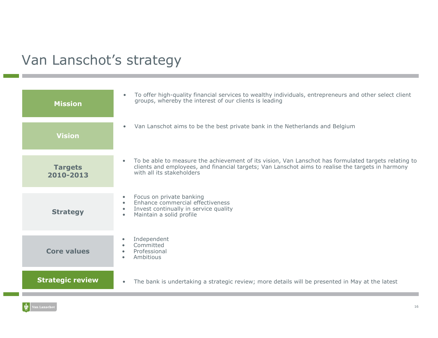# Van Lanschot's strategy

| <b>Mission</b>              | To offer high-quality financial services to wealthy individuals, entrepreneurs and other select client<br>$\bullet$<br>groups, whereby the interest of our clients is leading                                                                       |
|-----------------------------|-----------------------------------------------------------------------------------------------------------------------------------------------------------------------------------------------------------------------------------------------------|
| <b>Vision</b>               | Van Lanschot aims to be the best private bank in the Netherlands and Belgium<br>$\bullet$                                                                                                                                                           |
| <b>Targets</b><br>2010-2013 | To be able to measure the achievement of its vision, Van Lanschot has formulated targets relating to<br>$\bullet$<br>clients and employees, and financial targets; Van Lanschot aims to realise the targets in harmony<br>with all its stakeholders |
| <b>Strategy</b>             | Focus on private banking<br>$\bullet$<br>Enhance commercial effectiveness<br>$\bullet$<br>Invest continually in service quality<br>$\bullet$<br>Maintain a solid profile<br>$\bullet$                                                               |
| <b>Core values</b>          | Independent<br>$\bullet$<br>Committed<br>$\bullet$<br>Professional<br>$\bullet$<br>Ambitious<br>$\bullet$                                                                                                                                           |
| <b>Strategic review</b>     | The bank is undertaking a strategic review; more details will be presented in May at the latest<br>$\bullet$                                                                                                                                        |

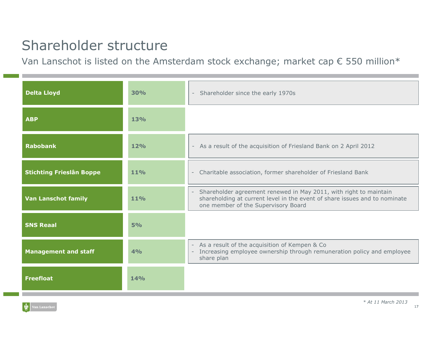# Shareholder structure

Van Lanschot is listed on the Amsterdam stock exchange; market cap  $\epsilon$  550 million $^*$ 

| <b>Delta Lloyd</b>              | 30%        | Shareholder since the early 1970s<br>$\sim$                                                                                                                                                                        |
|---------------------------------|------------|--------------------------------------------------------------------------------------------------------------------------------------------------------------------------------------------------------------------|
| <b>ABP</b>                      | <b>13%</b> |                                                                                                                                                                                                                    |
| <b>Rabobank</b>                 | 12%        | - As a result of the acquisition of Friesland Bank on 2 April 2012                                                                                                                                                 |
| <b>Stichting Frieslân Boppe</b> | <b>11%</b> | Charitable association, former shareholder of Friesland Bank<br>$\overline{\phantom{a}}$                                                                                                                           |
| <b>Van Lanschot family</b>      | <b>11%</b> | Shareholder agreement renewed in May 2011, with right to maintain<br>$\overline{\phantom{a}}$<br>shareholding at current level in the event of share issues and to nominate<br>one member of the Supervisory Board |
| <b>SNS Reaal</b>                | 5%         |                                                                                                                                                                                                                    |
| <b>Management and staff</b>     | 4%         | - As a result of the acquisition of Kempen & Co<br>Increasing employee ownership through remuneration policy and employee<br>$\overline{\phantom{a}}$<br>share plan                                                |
| <b>Freefloat</b>                | <b>14%</b> |                                                                                                                                                                                                                    |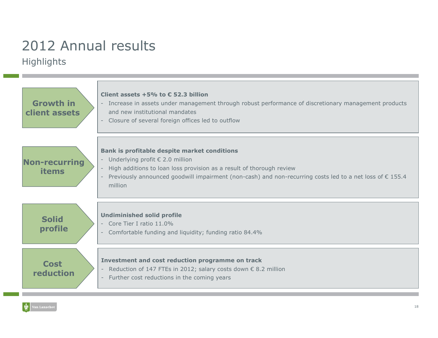# 2012 Annual results

#### **Highlights**

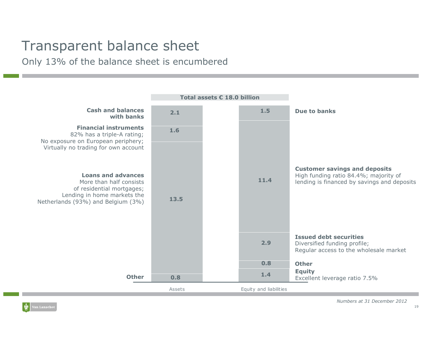# Transparent balance sheet

Only 13% of the balance sheet is encumbered

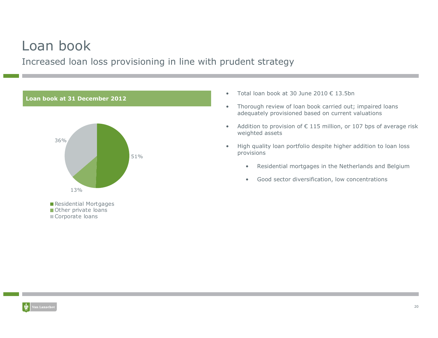### Loan book

Increased loan loss provisioning in line with prudent strategy



- •Total loan book at 30 June 2010 € 13.5bn
- • Thorough review of loan book carried out; impaired loans adequately provisioned based on current valuations
- •Addition to provision of  $\epsilon$  115 million, or 107 bps of average risk weighted assets
- • High quality loan portfolio despite higher addition to loan loss provisions
	- $\bullet$ Residential mortgages in the Netherlands and Belgium
	- $\bullet$ Good sector diversification, low concentrations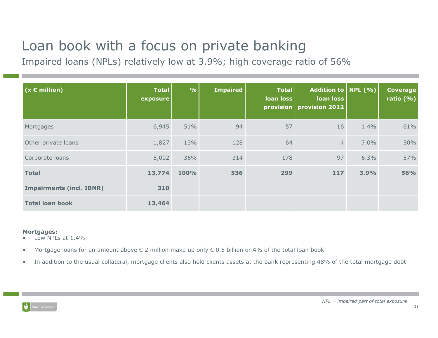# Loan book with a focus on private banking

Impaired loans (NPLs) relatively low at 3.9%; high coverage ratio of 56%

| $(x \in million)$               | <b>Total</b><br>exposure | $\frac{9}{6}$ | <b>Impaired</b> | <b>Total</b><br>loan loss | Addition to   NPL $(\% )$<br>loan loss<br>provision   provision 2012 |      | <b>Coverage</b><br>ratio $(% )$ |
|---------------------------------|--------------------------|---------------|-----------------|---------------------------|----------------------------------------------------------------------|------|---------------------------------|
| Mortgages                       | 6,945                    | 51%           | 94              | 57                        | 16                                                                   | 1.4% | 61%                             |
| Other private loans             | 1,827                    | 13%           | 128             | 64                        | $\overline{4}$                                                       | 7.0% | 50%                             |
| Corporate loans                 | 5,002                    | 36%           | 314             | 178                       | 97                                                                   | 6.3% | 57%                             |
| <b>Total</b>                    | 13,774                   | 100%          | 536             | 299                       | 117                                                                  | 3.9% | <b>56%</b>                      |
| <b>Impairments (incl. IBNR)</b> | 310                      |               |                 |                           |                                                                      |      |                                 |
| <b>Total loan book</b>          | 13,464                   |               |                 |                           |                                                                      |      |                                 |

#### Mortgages:

- Low NPLs at 1.4%•
- •Mortgage loans for an amount above € 2 million make up only € 0.5 billion or 4% of the total loan book
- •In addition to the usual collateral, mortgage clients also hold clients assets at the bank representing 48% of the total mortgage debt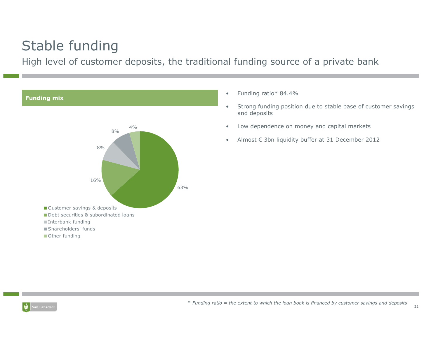# Stable funding

High level of customer deposits, the traditional funding source of a private bank



- •Funding ratio\* 84.4%
- • Strong funding position due to stable base of customer savings and deposits
- •Low dependence on money and capital markets
- $\bullet$ Almost € 3bn liquidity buffer at 31 December 2012

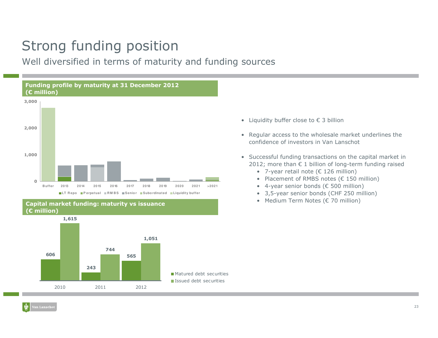# Strong funding position

Well diversified in terms of maturity and funding sources





- Liquidity buffer close to € 3 billion
- Regular access to the wholesale market underlines the<br>confidence of investors in Van Lanschot confidence of investors in Van Lanschot
- Successful funding transactions on the capital market in <br>2012: more than 6.1 billion of long-term funding raised 2012; more than € 1 billion of long-term funding raised
	- 7-year retail note (€ 126 million)
	- Placement of RMBS notes (€ 150 million)<br>• 4-year sonier bonds (€ 500 million)
	- 4-year senior bonds (€ 500 million)
	- 3,5-year senior bonds (CHF 250 million)
	- Medium Term Notes (€ 70 million)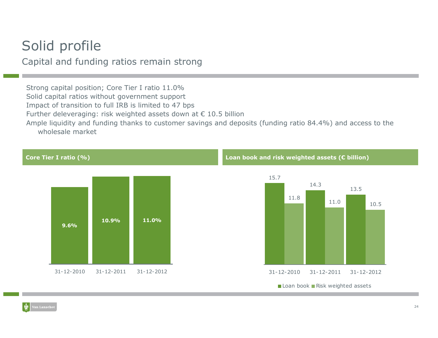### Solid profile

Capital and funding ratios remain strong

Strong capital position; Core Tier I ratio 11.0% Solid capital ratios without government support Impact of transition to full IRB is limited to 47 bps Further deleveraging: risk weighted assets down at € 10.5 billion<br>Ample liquidity and funding thanks to sustemer savings and depe Ample liquidity and funding thanks to customer savings and deposits (funding ratio 84.4%) and access to the wholesale market

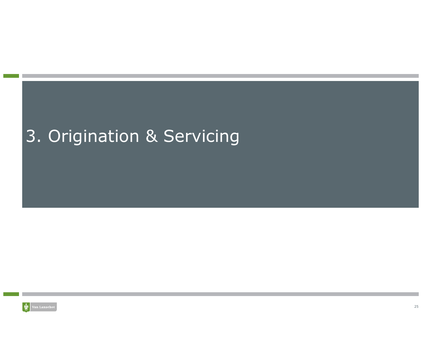# 3. Origination & Servicing

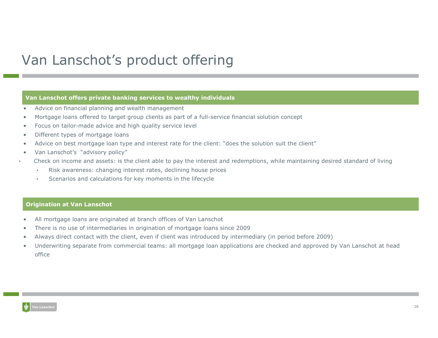## Van Lanschot's product offering

#### Van Lanschot offers private banking services to wealthy individuals

- •Advice on financial planning and wealth management
- •Mortgage loans offered to target group clients as part of a full-service financial solution concept
- •Focus on tailor-made advice and high quality service level
- •Different types of mortgage loans
- •Advice on best mortgage loan type and interest rate for the client: "does the solution suit the client"
- •Van Lanschot's "advisory policy"
- • Check on income and assets: is the client able to pay the interest and redemptions, while maintaining desired standard of living
	- •Risk awareness: changing interest rates, declining house prices
	- •Scenarios and calculations for key moments in the lifecycle

#### Origination at Van Lanschot

- •All mortgage loans are originated at branch offices of Van Lanschot
- •There is no use of intermediaries in origination of mortgage loans since 2009
- •Always direct contact with the client, even if client was introduced by intermediary (in period before 2009)
- • Underwriting separate from commercial teams: all mortgage loan applications are checked and approved by Van Lanschot at head office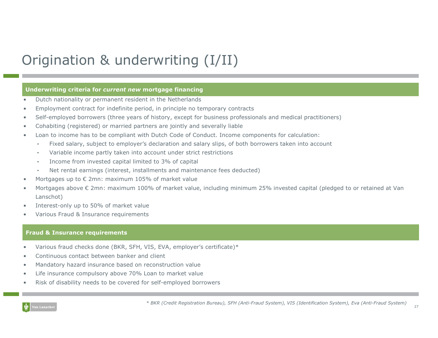# Origination & underwriting (I/II)

#### Underwriting criteria for *current new* mortgage financing

- •Dutch nationality or permanent resident in the Netherlands
- •Employment contract for indefinite period, in principle no temporary contracts
- •Self-employed borrowers (three years of history, except for business professionals and medical practitioners)
- •Cohabiting (registered) or married partners are jointly and severally liable
- • Loan to income has to be compliant with Dutch Code of Conduct. Income components for calculation:
	- •Fixed salary, subject to employer's declaration and salary slips, of both borrowers taken into account
	- •Variable income partly taken into account under strict restrictions
	- •Income from invested capital limited to 3% of capital
	- •Net rental earnings (interest, installments and maintenance fees deducted)
- •Mortgages up to € 2mn: maximum 105% of market value
- • Mortgages above € 2mn: maximum 100% of market value, including minimum 25% invested capital (pledged to or retained at Van Lanschot)
- •Interest-only up to 50% of market value
- •Various Fraud & Insurance requirements

#### Fraud & Insurance requirements

- •Various fraud checks done (BKR, SFH, VIS, EVA, employer's certificate)\*
- •Continuous contact between banker and client
- •Mandatory hazard insurance based on reconstruction value
- •Life insurance compulsory above 70% Loan to market value
- •Risk of disability needs to be covered for self-employed borrowers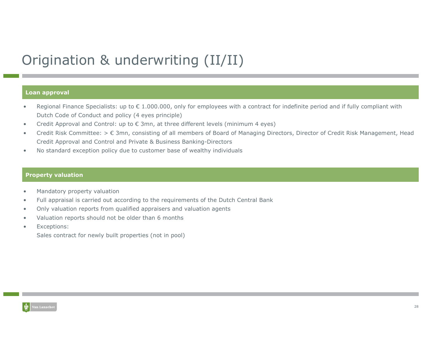# Origination & underwriting (II/II)

#### Loan approval

- Regional Finance Specialists: up to  $\epsilon$  1.000.000, only for employees with a contract for indefinite period and if fully compliant with Dutch Code of Conduct and policy (4 eyes principle)
- •Credit Approval and Control: up to  $\epsilon$  3mn, at three different levels (minimum 4 eyes)
- • Credit Risk Committee: > € 3mn, consisting of all members of Board of Managing Directors, Director of Credit Risk Management, Head Credit Approval and Control and Private & Business Banking-Directors
- •No standard exception policy due to customer base of wealthy individuals

#### Property valuation

- •Mandatory property valuation
- •Full appraisal is carried out according to the requirements of the Dutch Central Bank
- •Only valuation reports from qualified appraisers and valuation agents
- •Valuation reports should not be older than 6 months
- •Exceptions:

Sales contract for newly built properties (not in pool)

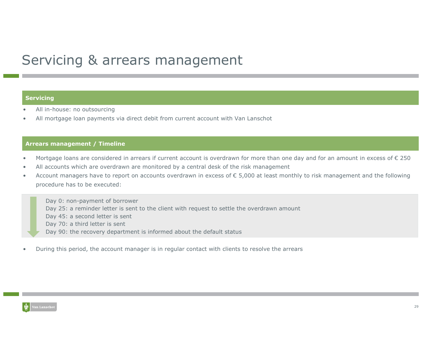### Servicing & arrears management

#### **Servicing**

- •All in-house: no outsourcing
- •All mortgage loan payments via direct debit from current account with Van Lanschot

#### Arrears management / Timeline

- •Mortgage loans are considered in arrears if current account is overdrawn for more than one day and for an amount in excess of € 250
- •All accounts which are overdrawn are monitored by a central desk of the risk management
- • Account managers have to report on accounts overdrawn in excess of € 5,000 at least monthly to risk management and the following procedure has to be executed:

Day 0: non-payment of borrower

- Day 25: a reminder letter is sent to the client with request to settle the overdrawn amount
- Day 45: a second letter is sent
- Day 70: a third letter is sent
- Day 90: the recovery department is informed about the default status
- •During this period, the account manager is in regular contact with clients to resolve the arrears

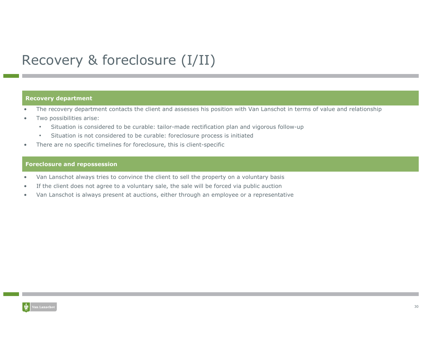# Recovery & foreclosure (I/II)

#### Recovery department

- •The recovery department contacts the client and assesses his position with Van Lanschot in terms of value and relationship
- Two possibilities arise:
	- •Situation is considered to be curable: tailor-made rectification plan and vigorous follow-up
	- •Situation is not considered to be curable: foreclosure process is initiated
- There are no specific timelines for foreclosure, this is client-specific

#### Foreclosure and repossession

- •Van Lanschot always tries to convince the client to sell the property on a voluntary basis
- •If the client does not agree to a voluntary sale, the sale will be forced via public auction
- •Van Lanschot is always present at auctions, either through an employee or a representative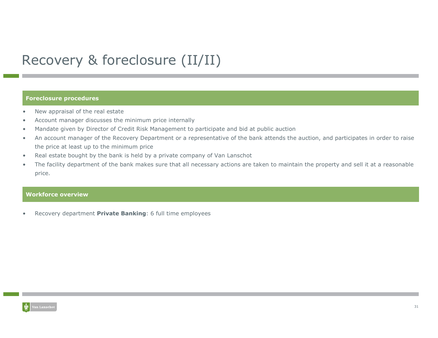# Recovery & foreclosure (II/II)

#### Foreclosure procedures

- •New appraisal of the real estate
- •Account manager discusses the minimum price internally
- •Mandate given by Director of Credit Risk Management to participate and bid at public auction
- • An account manager of the Recovery Department or a representative of the bank attends the auction, and participates in order to raise the price at least up to the minimum price
- Real estate bought by the bank is held by a private company of Van Lanschot •
- • The facility department of the bank makes sure that all necessary actions are taken to maintain the property and sell it at a reasonable price.

#### **Workforce overview**

•Recovery department Private Banking: 6 full time employees

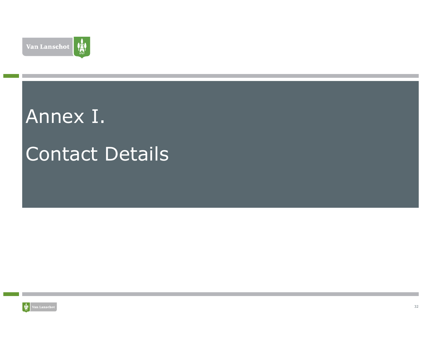

# Annex I.

# Contact Details

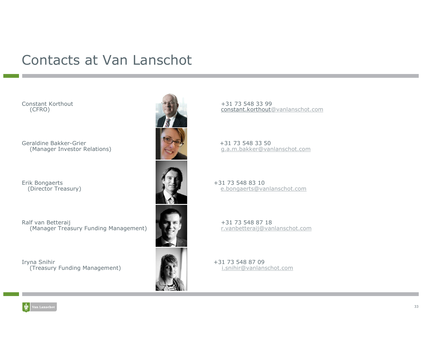### Contacts at Van Lanschot

Constant Korthout(CFRO)

Geraldine Bakker-Grier(Manager Investor Relations)

Erik Bongaerts<br>(Director Treasury)

Ralf van Betteraij(Manager Treasury Funding Management)

Iryna Snihir +31 73 548 87 09 (Treasury Funding Management) i.snihir@vanlanschot.com



 +31 73 548 33 99constant.korthout@vanlanschot.com

> +31 73 548 33 50g.a.m.bakker@vanlanschot.com

 +31 73 548 83 10(Director Treasury) e.bongaerts@vanlanschot.com

> +31 73 548 87 18r.vanbetteraij@vanlanschot.com

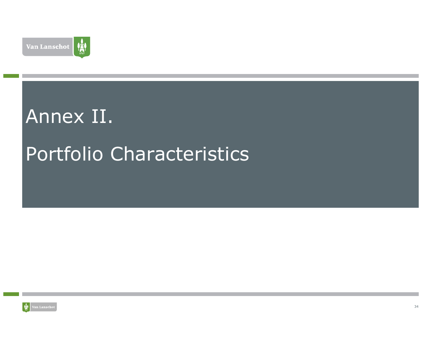

# Annex II.

# Portfolio Characteristics

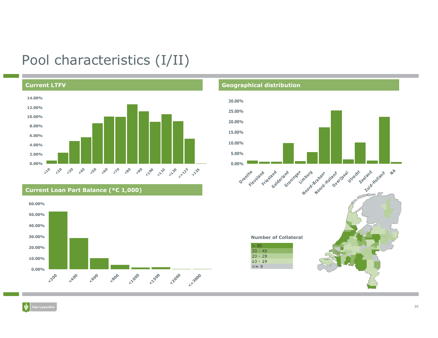### Pool characteristics (I/II)





#### Geographical distribution



蘭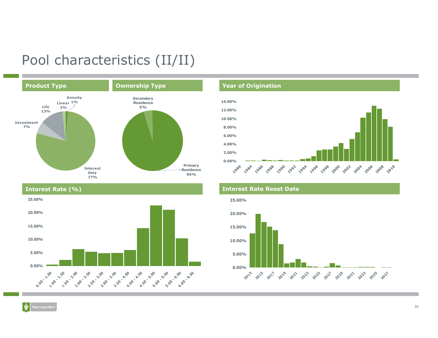### Pool characteristics (II/II)



#### Interest Rate (%)



#### Year of Origination



#### Interest Rate Reset Date

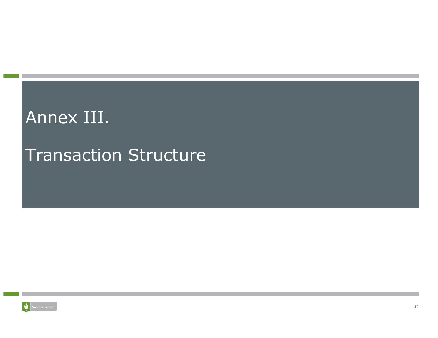# Annex III.

# Transaction Structure

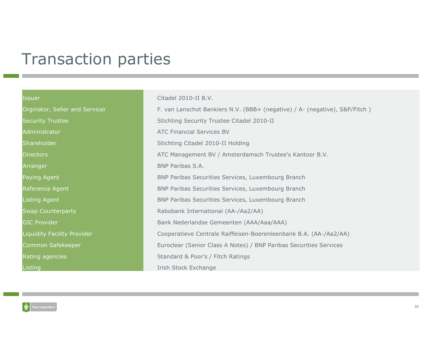# Transaction parties

#### Issuer Citadel 2010-II B.V.

Orginator, Seller and Servicer F. van Lanschot Bankiers N.V. (BBB+ (negative) / A- (negative), S&P/Fitch ) Security Trustee Stichting Security Trustee Citadel 2010-II Administrator ATC Financial Services BV **Shareholder**  Stichting Citadel 2010-II Holding **Directors**  ATC Management BV / Amsterdamsch Trustee's Kantoor B.V. **Arranger BNP Paribas S.A.** Paying Agent BNP Paribas Securities Services, Luxembourg BranchReference Agent BNP Paribas Securities Services, Luxembourg BranchListing Agent BNP Paribas Securities Services, Luxembourg BranchSwap Counterparty Rabobank International (AA-/Aa2/AA) GIC Provider Bank Nederlandse Gemeenten (AAA/Aaa/AAA) Liquidity Facility Provider Cooperatieve Centrale Raiffeisen-Boerenleenbank B.A. (AA-/Aa2/AA) Common Safekeeper Euroclear (Senior Class A Notes) / BNP Paribas Securities Services Rating agencies Standard & Poor's / Fitch Ratings Listing Irish Stock Exchange Irish Stock Exchange

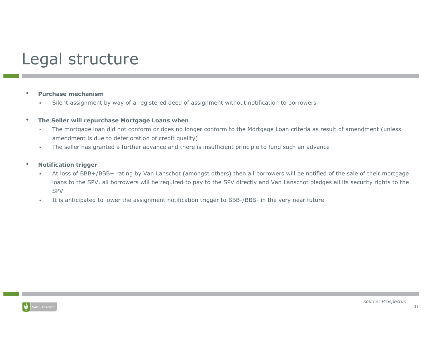# Legal structure

#### •Purchase mechanism

 Silent assignment by way of a registered deed of assignment without notification to borrowersп

#### •The Seller will repurchase Mortgage Loans when

- The mortgage loan did not conform or does no longer conform to the Mortgage Loan criteria as result of amendment (unless  $\bar{\phantom{a}}$ amendment is due to deterioration of credit quality)
- ×. The seller has granted a further advance and there is insufficient principle to fund such an advance

#### •Notification trigger

- ш At loss of BBB+/BBB+ rating by Van Lanschot (amongst others) then all borrowers will be notified of the sale of their mortgage loans to the SPV, all borrowers will be required to pay to the SPV directly and Van Lanschot pledges all its security rights to the SPV
- It is anticipated to lower the assignment notification trigger to BBB-/BBB- in the very near future ш

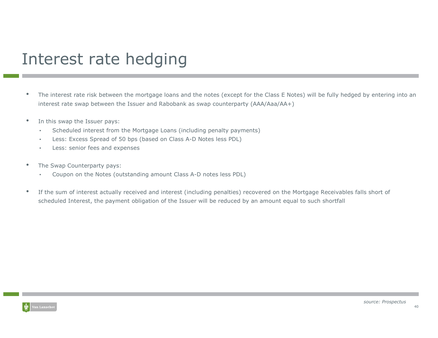# Interest rate hedging

- • The interest rate risk between the mortgage loans and the notes (except for the Class E Notes) will be fully hedged by entering into an interest rate swap between the Issuer and Rabobank as swap counterparty (AAA/Aaa/AA+)
- • In this swap the Issuer pays:
	- •Scheduled interest from the Mortgage Loans (including penalty payments)
	- •Less: Excess Spread of 50 bps (based on Class A-D Notes less PDL)
	- •Less: senior fees and expenses
- • The Swap Counterparty pays:
	- •Coupon on the Notes (outstanding amount Class A-D notes less PDL)
- • If the sum of interest actually received and interest (including penalties) recovered on the Mortgage Receivables falls short of scheduled Interest, the payment obligation of the Issuer will be reduced by an amount equal to such shortfall

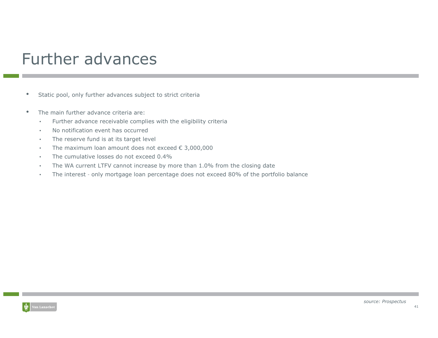# Further advances

- •Static pool, only further advances subject to strict criteria
- • The main further advance criteria are:
	- •Further advance receivable complies with the eligibility criteria
	- •No notification event has occurred
	- . The reserve fund is at its target level •
	- •The maximum loan amount does not exceed € 3,000,000
	- •The cumulative losses do not exceed 0.4%
	- The WA current LTFV cannot increase by more than 1.0% from the closing date•
	- The interest only mortgage loan percentage does not exceed 80% of the portfolio balance •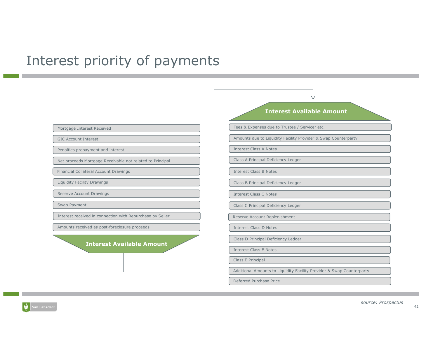### Interest priority of payments

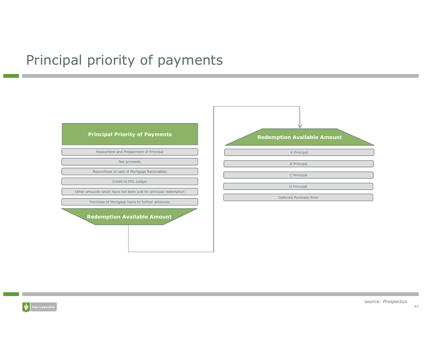# Principal priority of payments

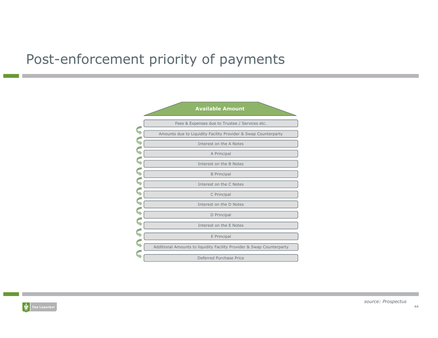## Post-enforcement priority of payments



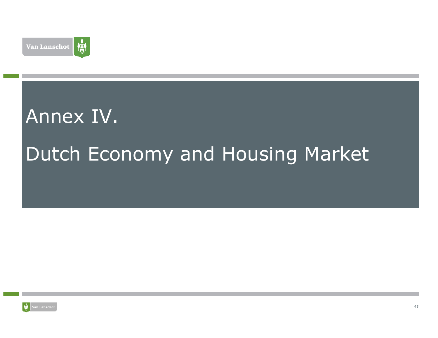

# Annex IV.Dutch Economy and Housing Market

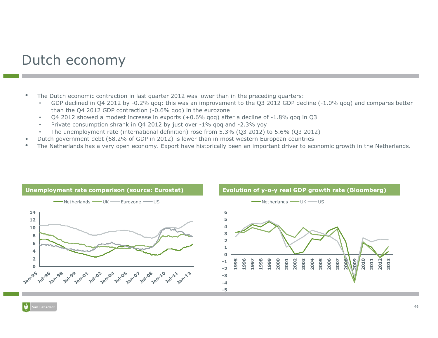### Dutch economy

- • The Dutch economic contraction in last quarter 2012 was lower than in the preceding quarters:
	- GDP declined in Q4 2012 by -0.2% qoq; this was an improvement to the Q3 2012 GDP decline (-1.0% qoq) and compares better than the Q4 2012 GDP contraction (-0.6% qoq) in the eurozone
	- Q4 2012 showed a modest increase in exports  $(+0.6\%$  qoq) after a decline of -1.8% qoq in Q3<br>Private consumption shrapk in Q4.2012 by just over -1% aog and -2.3% yoy. •
	- •Private consumption shrank in Q4 2012 by just over -1% qoq and -2.3% yoy
	- The unemployment rate (international definition) rose from 5.3% (Q3 2012) to 5.6% (Q3 2012)
- Dutch government debt (68.2% of GDP in 2012) is lower than in most western European countries
- •The Netherlands has a very open economy. Export have historically been an important driver to economic growth in the Netherlands.



•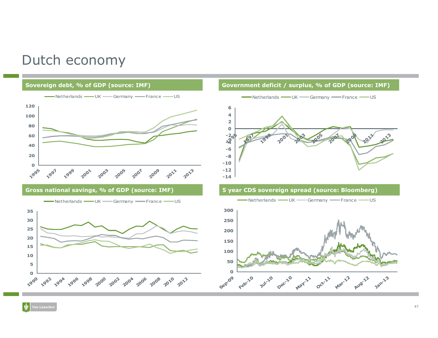### Dutch economy

#### Sovereign debt, % of GDP (source: IMF)



Gross national savings, % of GDP (source: IMF)



#### Government deficit / surplus, % of GDP (source: IMF)



#### 5 year CDS sovereign spread (source: Bloomberg)

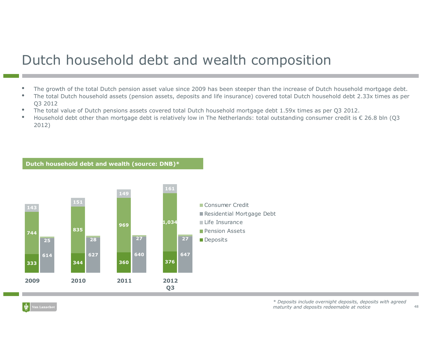# Dutch household debt and wealth composition

- •The growth of the total Dutch pension asset value since 2009 has been steeper than the increase of Dutch household mortgage debt.
- • The total Dutch household assets (pension assets, deposits and life insurance) covered total Dutch household debt 2.33x times as per Q3 2012
- The total value of Dutch pensions assets covered total Dutch household mortgage debt 1.59x times as per Q3 2012. •
- •Household debt other than mortgage debt is relatively low in The Netherlands: total outstanding consumer credit is  $\epsilon$  26.8 bln (Q3 2012)

Dutch household debt and wealth (source: DNB)\*

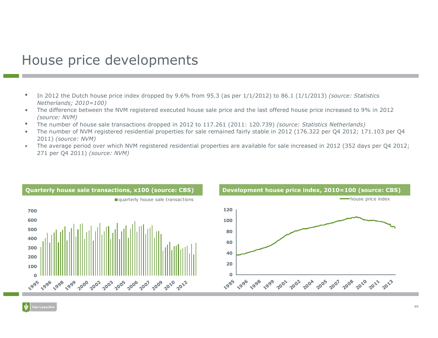### House price developments

- $\bullet$  In 2012 the Dutch house price index dropped by 9.6% from 95.3 (as per 1/1/2012) to 86.1 (1/1/2013) (source: Statistics Netherlands; 2010=100)
- The difference between the NVM registered executed house sale price and the last offered house price increased to 9% in 2012  $\bullet$ (source: NVM)
- The number of house sale transactions dropped in 2012 to 117.261 (2011: 120.739) *(source: Statistics Netherlands)*<br>The number of NVM registered residential preperties for sale remained fairly stable in 2012 (176,322 per 0  $\bullet$
- • The number of NVM registered residential properties for sale remained fairly stable in 2012 (176.322 per Q4 2012; 171.103 per Q4 2011) (source: NVM)
- The average period over which NVM registered residential properties are available for sale increased in 2012 (352 days per Q4 2012; •271 per Q4 2011) (source: NVM)

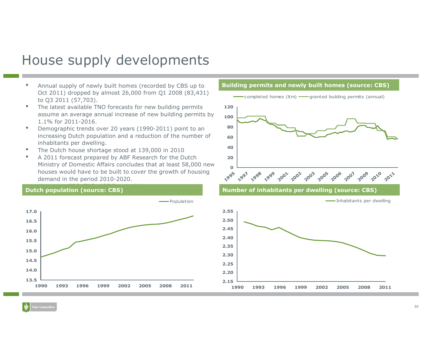### House supply developments

- • Annual supply of newly built homes (recorded by CBS up to Oct 2011) dropped by almost 26,000 from Q1 2008 (83,431) to Q3 2011 (57,703).
- The latest available TNO forecasts for new building permits •assume an average annual increase of new building permits by 1.1% for 2011-2016.
- Demographic trends over 20 years (1990-2011) point to an •increasing Dutch population and a reduction of the number of inhabitants per dwelling.
- The Dutch house shortage stood at 139,000 in 2010•
- A 2011 forecast prepared by ABF Research for the Dutch •Ministry of Domestic Affairs concludes that at least 58,000 new houses would have to be built to cover the growth of housing demand in the period 2010-2020.

#### ————————————————————<br>Dutch population (source: CBS)





<sup>1990</sup> <sup>1993</sup> <sup>1996</sup> <sup>1999</sup> <sup>2002</sup> <sup>2005</sup> <sup>2008</sup> <sup>2011</sup>

2.15

2.20

1990

Building permits and newly built homes (source: CBS)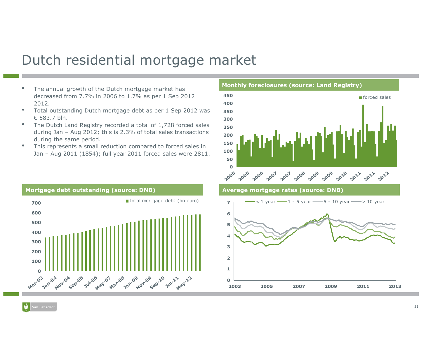### Dutch residential mortgage market

- The annual growth of the Dutch mortgage market has **we have all the contract with the region**, decreased from 7.7% in 2006 to 1.7% as per 1 Sep 2012 2012.
- Total outstanding Dutch mortgage debt as per 1 Sep 2012 was •€ 583.7 bln.
- • The Dutch Land Registry recorded a total of 1,728 forced sales during Jan – Aug 2012; this is 2.3% of total sales transactions during the same period.
- This represents a small reduction compared to forced sales in •Jan – Aug 2011 (1854); full year 2011 forced sales were 2811.





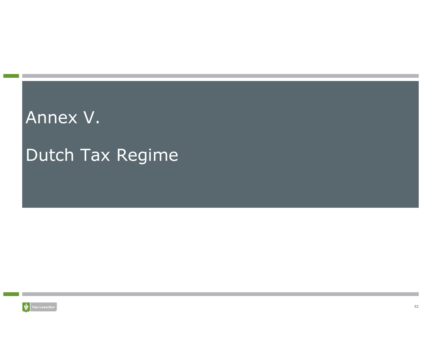# Annex V.

# Dutch Tax Regime

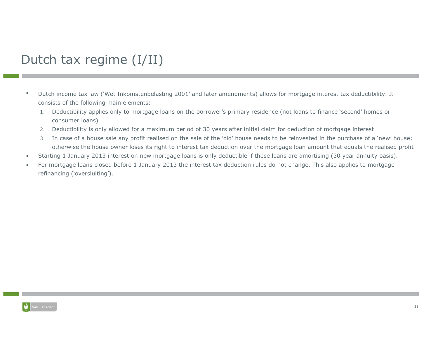### Dutch tax regime (I/II)

- • Dutch income tax law ('Wet Inkomstenbelasting 2001' and later amendments) allows for mortgage interest tax deductibility. It consists of the following main elements:
	- 1. Deductibility applies only to mortgage loans on the borrower's primary residence (not loans to finance 'second' homes or consumer loans)
	- 2. Deductibility is only allowed for a maximum period of 30 years after initial claim for deduction of mortgage interest
	- 3. In case of a house sale any profit realised on the sale of the 'old' house needs to be reinvested in the purchase of a 'new' house; otherwise the house owner loses its right to interest tax deduction over the mortgage loan amount that equals the realised profit
- •Starting 1 January 2013 interest on new mortgage loans is only deductible if these loans are amortising (30 year annuity basis).
- • For mortgage loans closed before 1 January 2013 the interest tax deduction rules do not change. This also applies to mortgage refinancing ('oversluiting').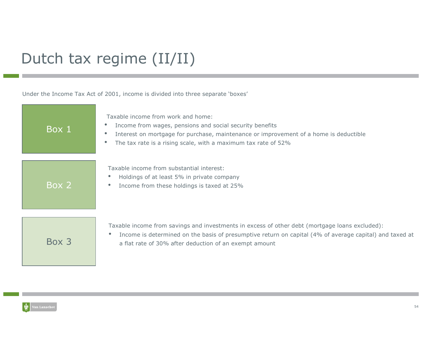# Dutch tax regime (II/II)

Under the Income Tax Act of 2001, income is divided into three separate 'boxes'

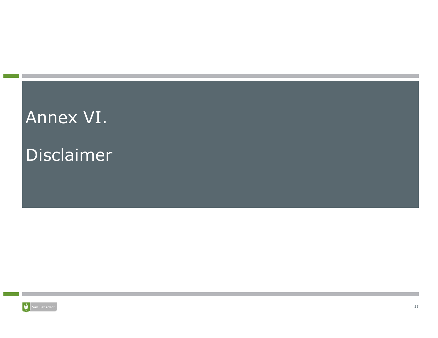# Annex VI.

# Disclaimer

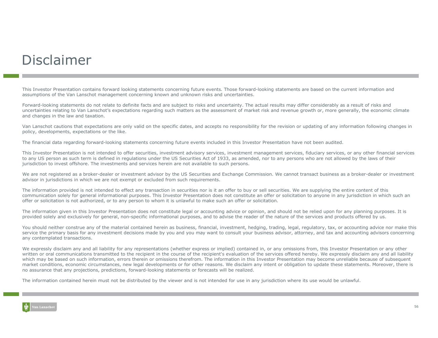### Disclaimer

This Investor Presentation contains forward looking statements concerning future events. Those forward-looking statements are based on the current information and assumptions of the Van Lanschot management concerning known and unknown risks and uncertainties.

Forward-looking statements do not relate to definite facts and are subject to risks and uncertainty. The actual results may differ considerably as a result of risks and uncertainties relating to Van Lanschot's expectations regarding such matters as the assessment of market risk and revenue growth or, more generally, the economic climate<br>and changes in the law and taxation and changes in the law and taxation.

Van Lanschot cautions that expectations are only valid on the specific dates, and accepts no responsibility for the revision or updating of any information following changes in policy, developments, expectations or the like.

The financial data regarding forward-looking statements concerning future events included in this Investor Presentation have not been audited.

This Investor Presentation is not intended to offer securities, investment advisory services, investment management services, fiduciary services, or any other financial services to any US person as such term is defined in regulations under the US Securities Act of 1933, as amended, nor to any persons who are not allowed by the laws of their jurisdiction to invest offshore. The investments and services herein are not available to such persons.

We are not registered as a broker-dealer or investment advisor by the US Securities and Exchange Commission. We cannot transact business as a broker-dealer or investment advisor in jurisdictions in which we are not exempt or excluded from such requirements.

The information provided is not intended to effect any transaction in securities nor is it an offer to buy or sell securities. We are supplying the entire content of this communication solely for general informational purposes. This Investor Presentation does not constitute an offer or solicitation to anyone in any jurisdiction in which such an offer or solicitation is not authorized, or to any person to whom it is unlawful to make such an offer or solicitation.

The information given in this Investor Presentation does not constitute legal or accounting advice or opinion, and should not be relied upon for any planning purposes. It is provided solely and exclusively for general, non-specific informational purposes, and to advise the reader of the nature of the services and products offered by us.

You should neither construe any of the material contained herein as business, financial, investment, hedging, trading, legal, regulatory, tax, or accounting advice nor make this<br>service the primary basis for any investment service the primary basis for any investment decisions made by you and you may want to consult your business advisor, attorney, and tax and accounting advisors concerning<br>any contemplated transactions any contemplated transactions.

We expressly disclaim any and all liability for any representations (whether express or implied) contained in, or any omissions from, this Investor Presentation or any other<br>written or oral communications transmitted to th written or oral communications transmitted to the recipient in the course of the recipient's evaluation of the services offered hereby. We expressly disclaim any and all liability<br>which may be based on such information, er which may be based on such information, errors therein or omissions therefrom. The information in this Investor Presentation may become unreliable because of subsequent market conditions, economic circumstances, new legal developments or for other reasons. We disclaim any intent or obligation to update these statements. Moreover, there is no assurance that any projections, predictions, forward-looking statements or forecasts will be realized.

The information contained herein must not be distributed by the viewer and is not intended for use in any jurisdiction where its use would be unlawful.

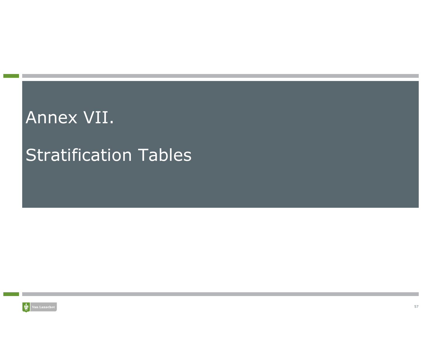# Annex VII.

# Stratification Tables

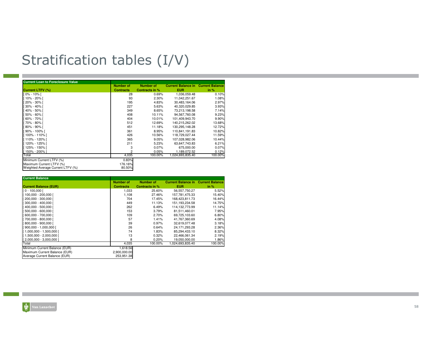# Stratification tables (I/V)

| <b>Current Loan to Foreclosure Value</b> |                  |                  |                           |                        |
|------------------------------------------|------------------|------------------|---------------------------|------------------------|
|                                          | <b>Number of</b> | <b>Number of</b> | <b>Current Balance in</b> | <b>Current Balance</b> |
| <b>Current LTFV (%)</b>                  | <b>Contracts</b> | Contracts in %   | <b>EUR</b>                | in $%$                 |
| $0\% - 10\%$                             | 28               | 0.69%            | 1,036,059.48              | 0.10%                  |
| 10% - 20% [                              | 93               | 2.30%            | 11,042,251.67             | 1.08%                  |
| 20% - 30% [                              | 195              | 4.83%            | 30.483.164.06             | 2.97%                  |
| 30% - 40% [                              | 227              | 5.63%            | 40.320.029.85             | 3.93%                  |
| 40% - 50% [                              | 349              | 8.65%            | 73,213,198.58             | 7.14%                  |
| 50% - 60% [                              | 408              | 10.11%           | 94.567.760.08             | 9.23%                  |
| 60% - 70% [                              | 404              | 10.01%           | 101,409,943.70            | 9.90%                  |
| 70% - 80% [                              | 512              | 12.69%           | 140.215.262.02            | 13.68%                 |
| 80% - 90% [                              | 451              | 11.18%           | 130.295.148.28            | 12.72%                 |
| 90% - 100% [                             | 361              | 8.95%            | 110,841,191.83            | 10.82%                 |
| 100% - 110% [                            | 426              | 10.56%           | 118,729,027.44            | 11.59%                 |
| 110% - 120% [                            | 365              | 9.05%            | 107.028.982.06            | 10.44%                 |
| 120% - 125% [                            | 211              | 5.23%            | 63,647,743.83             | 6.21%                  |
| 125% - 150% [                            | 3                | 0.07%            | 675,000.00                | 0.07%                  |
| 150% - 200%                              | $\overline{c}$   | 0.05%            | 1.189.072.52              | 0.12%                  |
| Total                                    | 4,035            | 100.00%          | 1,024,693,835.40          | 100.00%                |
| Minimum Current LTFV (%)                 | 0.83%            |                  |                           |                        |
| Maximum Current LTFV (%)                 | 176.16%          |                  |                           |                        |
| Weighted Average Current LTFV (%)        | 80.50%           |                  |                           |                        |

| <b>Current Balance</b>        |                  |                  |                                           |         |
|-------------------------------|------------------|------------------|-------------------------------------------|---------|
|                               | <b>Number of</b> | <b>Number of</b> | <b>Current Balance in Current Balance</b> |         |
| <b>Current Balance (EUR)</b>  | <b>Contracts</b> | Contracts in %   | <b>EUR</b>                                | in %    |
| $I$ 0 - 100,000 $I$           | 1,033            | 25.60%           | 56.557.750.27                             | 5.52%   |
| [ 100,000 - 200,000 [         | 1,108            | 27.46%           | 157,781,475.33                            | 15.40%  |
| 200,000 - 300,000 [           | 704              | 17.45%           | 168.423.811.73                            | 16.44%  |
| $1300,000 - 400,000$          | 449              | 11.13%           | 151, 193, 234.58                          | 14.75%  |
| 400,000 - 500,000 [           | 262              | 6.49%            | 114.132.773.99                            | 11.14%  |
| 500,000 - 600,000 [           | 153              | 3.79%            | 81.511.460.01                             | 7.95%   |
| 600,000 - 700,000 [           | 109              | 2.70%            | 69,725,103.60                             | 6.80%   |
| 700.000 - 800.000 l           | 57               | 1.41%            | 41.767.360.69                             | 4.08%   |
| 800,000 - 900,000 [           | 39               | 0.97%            | 32.619.077.48                             | 3.18%   |
| $[900,000 - 1,000,000]$       | 26               | 0.64%            | 24.171.293.28                             | 2.36%   |
| [1,000,000 - 1,500,000 [      | 74               | 1.83%            | 85,294,433.10                             | 8.32%   |
| [1,500,000 - 2,000,000 [      | 13               | 0.32%            | 22.466.061.34                             | 2.19%   |
| [2,000,000 - 3,000,000 ]      | 8                | 0.20%            | 19.050.000.00                             | 1.86%   |
| Total                         | 4,035            | 100.00%          | 1,024,693,835.40                          | 100.00% |
| Minimum Current Balance (EUR) | 1,618.56         |                  |                                           |         |
| Maximum Current Balance (EUR) | 2.900.000.00     |                  |                                           |         |
| Average Current Balance (EUR) | 253,951.38       |                  |                                           |         |

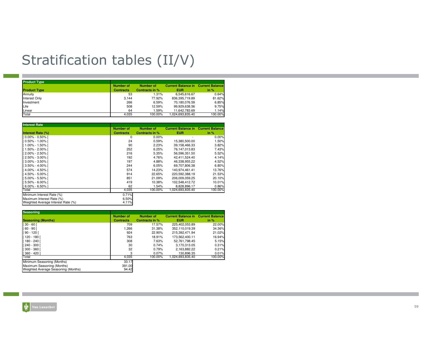# Stratification tables (II/V)

| <b>Product Type</b> |                                      |                             |                                                         |         |
|---------------------|--------------------------------------|-----------------------------|---------------------------------------------------------|---------|
| <b>Product Type</b> | <b>Number of</b><br><b>Contracts</b> | Number of<br>Contracts in % | <b>Current Balance in Current Balance</b><br><b>EUR</b> | in %    |
| Annuity             | 53                                   | 1.31%                       | 6.545.616.67                                            | 0.64%   |
|                     |                                      |                             |                                                         |         |
| Interest Only       | 3.144                                | 77.92%                      | 836.395.719.89                                          | 81.62%  |
| Investment          | 266                                  | 6.59%                       | 70,180,076.59                                           | 6.85%   |
| Life                | 508                                  | 12.59%                      | 99,929,638.56                                           | 9.75%   |
| Linear              | 64                                   | 1.59%                       | 11.642.783.69                                           | 1.14%   |
| Total               | 4.035                                | 100.00%                     | 1.024.693.835.40                                        | 100.00% |

| <b>Interest Rate</b>               |                  |                  |                                           |         |
|------------------------------------|------------------|------------------|-------------------------------------------|---------|
|                                    | <b>Number of</b> | <b>Number of</b> | <b>Current Balance in Current Balance</b> |         |
| <b>Interest Rate (%)</b>           | <b>Contracts</b> | Contracts in %   | <b>EUR</b>                                | in $%$  |
| $[0.00\% - 0.50\%]$                | 0                | 0.00%            |                                           | 0.00%   |
| $[0.50\% - 1.00\%]$                | 24               | 0.59%            | 15,380,500.00                             | 1.50%   |
| [1.00% - 1.50% [                   | 90               | 2.23%            | 39,158,466.33                             | 3.82%   |
| [1.50% - 2.00% [                   | 252              | 6.25%            | 76.147.013.83                             | 7.43%   |
| [2.00% - 2.50% [                   | 216              | 5.35%            | 56.596.351.50                             | 5.52%   |
| [2.50% - 3.00% [                   | 192              | 4.76%            | 42,411,524.40                             | 4.14%   |
| [3.00% - 3.50% [                   | 197              | 4.88%            | 46.338.955.22                             | 4.52%   |
| Г 3.50% - 4.00% Г                  | 244              | 6.05%            | 69.707.806.38                             | 6.80%   |
| 4.00% - 4.50%                      | 574              | 14.23%           | 140.974.461.41                            | 13.76%  |
| [4.50% - 5.00% [                   | 914              | 22.65%           | 220,592,388.19                            | 21.53%  |
| 5.00% - 5.50% [                    | 851              | 21.09%           | 206,009,059.25                            | 20.10%  |
| Г 5.50% - 6.00% Г                  | 419              | 10.38%           | 102.548.412.72                            | 10.01%  |
| $[6.00\% - 6.50\%]$                | 62               | 1.54%            | 8.828.896.17                              | 0.86%   |
| Total                              | 4,035            | 100.00%          | 1,024,693,835.40                          | 100.00% |
| Minimum Interest Rate (%)          | 0.71%            |                  |                                           |         |
| Maximum Interest Rate (%)          | 6.50%            |                  |                                           |         |
| Weighted Average Interest Rate (%) | 4.11%            |                  |                                           |         |

| <b>Seasoning</b>                    |                  |                |                           |                        |
|-------------------------------------|------------------|----------------|---------------------------|------------------------|
|                                     | Number of        | Number of      | <b>Current Balance in</b> | <b>Current Balance</b> |
| <b>Seasoning (Months)</b>           | <b>Contracts</b> | Contracts in % | <b>EUR</b>                | in %                   |
| $30 - 60$ [                         | 709              | 17.57%         | 225,402,053.89            | 22.00%                 |
| $60 - 90$ [                         | 1,266            | 31.38%         | 352.110.019.39            | 34.36%                 |
| $90 - 120$ [                        | 924              | 22.90%         | 215.392.471.94            | 21.02%                 |
| 120 - 180 l                         | 763              | 18.91%         | 173.562.400.11            | 16.94%                 |
| 180 - 240 l                         | 308              | 7.63%          | 52.761.798.45             | 5.15%                  |
| 240 - 300 l                         | 30               | 0.74%          | 3.170.313.05              | 0.31%                  |
| $300 - 3601$                        | 32               | 0.79%          | 2.163.882.22              | 0.21%                  |
| $360 - 420$                         | 3                | 0.07%          | 130.896.35                | 0.01%                  |
| Total                               | 4,035            | 100.00%        | 1.024.693.835.40          | 100.00%                |
| Minimum Seasoning (Months)          | 33.17            |                |                           |                        |
| Maximum Seasoning (Months)          | 391.00           |                |                           |                        |
| Weighted Average Seasoning (Months) | 94.42            |                |                           |                        |

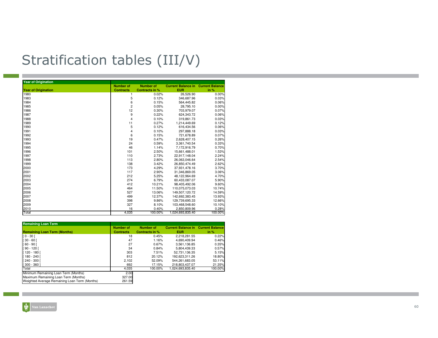# Stratification tables (III/V)

| <b>Year of Origination</b> |                  |                  |                           |                        |
|----------------------------|------------------|------------------|---------------------------|------------------------|
|                            | <b>Number of</b> | <b>Number of</b> | <b>Current Balance in</b> | <b>Current Balance</b> |
| <b>Year of Origination</b> | <b>Contracts</b> | Contracts in %   | <b>EUR</b>                | in %                   |
| 1980                       | 1                | 0.02%            | 26,526.90                 | 0.00%                  |
| 1983                       | 5                | 0.12%            | 346,687.96                | 0.03%                  |
| 1984                       | 6                | 0.15%            | 564,445.82                | 0.06%                  |
| 1985                       | $\overline{c}$   | 0.05%            | 28.795.10                 | 0.00%                  |
| 1986                       | 12               | 0.30%            | 703,979.07                | 0.07%                  |
| 1987                       | 9                | 0.22%            | 624,343.72                | 0.06%                  |
| 1988                       | 4                | 0.10%            | 319,861.73                | 0.03%                  |
| 1989                       | 11               | 0.27%            | 1.214.449.69              | 0.12%                  |
| 1990                       | 5                | 0.12%            | 616,434.56                | 0.06%                  |
| 1991                       | 4                | 0.10%            | 297,888.18                | 0.03%                  |
| 1992                       | 6                | 0.15%            | 721,678.89                | 0.07%                  |
| 1993                       | 19               | 0.47%            | 2,628,407.15              | 0.26%                  |
| 1994                       | 24               | 0.59%            | 3,361,740.54              | 0.33%                  |
| 1995                       | 46               | 1.14%            | 7,172,916.79              | 0.70%                  |
| 1996                       | 101              | 2.50%            | 15,661,488.01             | 1.53%                  |
| 1997                       | 110              | 2.73%            | 22,917,148.04             | 2.24%                  |
| 1998                       | 113              | 2.80%            | 26.063.046.64             | 2.54%                  |
| 1999                       | 138              | 3.42%            | 26,850,474.49             | 2.62%                  |
| 2000                       | 173              | 4.29%            | 37,931,478.16             | 3.70%                  |
| 2001                       | 117              | 2.90%            | 31,346,869.05             | 3.06%                  |
| 2002                       | 212              | 5.25%            | 48,122,964.69             | 4.70%                  |
| 2003                       | 274              | 6.79%            | 60,433,087.07             | 5.90%                  |
| 2004                       | 412              | 10.21%           | 98.405.492.06             | 9.60%                  |
| 2005                       | 464              | 11.50%           | 110,075,073.03            | 10.74%                 |
| 2006                       | 527              | 13.06%           | 149,507,120.72            | 14.59%                 |
| 2007                       | 499              | 12.37%           | 142,692,383.45            | 13.93%                 |
| 2008                       | 398              | 9.86%            | 129,739,695.33            | 12.66%                 |
| 2009                       | 327              | 8.10%            | 103,468,548.60            | 10.10%                 |
| 2010                       | 16               | 0.40%            | 2,850,809.96              | 0.28%                  |
| Total                      | 4.035            | 100.00%          | 1,024,693,835.40          | 100.00%                |

| <b>Remaining Loan Term</b>                    |                  |                  |                                           |         |
|-----------------------------------------------|------------------|------------------|-------------------------------------------|---------|
|                                               | <b>Number of</b> | <b>Number of</b> | <b>Current Balance in Current Balance</b> |         |
| <b>Remaining Loan Term (Months)</b>           | <b>Contracts</b> | Contracts in %   | <b>EUR</b>                                | in %    |
| $[0 - 30]$                                    | 18               | 0.45%            | 2.218.281.55                              | 0.22%   |
| $[30 - 60]$                                   | 47               | 1.16%            | 4,690,409.94                              | 0.46%   |
| $[60 - 90]$                                   | 27               | 0.67%            | 3.561.136.85                              | 0.35%   |
| $[90 - 120]$                                  | 34               | 0.84%            | 5,804,439.33                              | 0.57%   |
| [120 - 180 ]                                  | 303              | 7.51%            | 52.731.136.35                             | 5.15%   |
| $[180 - 240]$                                 | 812              | 20.12%           | 192.623.311.26                            | 18.80%  |
| $[240 - 300]$                                 | 2,102            | 52.09%           | 544.261.683.05                            | 53.11%  |
| $[300 - 360]$                                 | 692              | 17.15%           | 218.803.437.07                            | 21.35%  |
| Total                                         | 4,035            | 100.00%          | 1.024.693.835.40                          | 100.00% |
| Minimum Remaining Loan Term (Months)          | 2.00             |                  |                                           |         |
| Maximum Remaining Loan Term (Months)          | 327.00           |                  |                                           |         |
| Weighted Average Remaining Loan Term (Months) | 261.59           |                  |                                           |         |

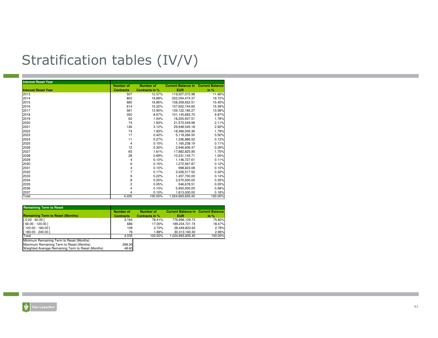# Stratification tables (IV/V)

| <b>Interest Reset Year</b> |                         |                  |                                           |         |
|----------------------------|-------------------------|------------------|-------------------------------------------|---------|
|                            | <b>Number of</b>        | <b>Number of</b> | <b>Current Balance in Current Balance</b> |         |
| <b>Interest Reset Year</b> | <b>Contracts</b>        | Contracts in %   | <b>EUR</b>                                | in %    |
| 2013                       | 507                     | 12.57%           | 119.507.072.98                            | 11.66%  |
| 2014                       | 802                     | 19.88%           | 202,054,474.37                            | 19.72%  |
| 2015                       | 680                     | 16.85%           | 158.359.652.51                            | 15.45%  |
| 2016                       | 614                     | 15.22%           | 157.652.744.60                            | 15.39%  |
| 2017                       | 561                     | 13.90%           | 139, 122, 185. 27                         | 13.58%  |
| 2018                       | 350                     | 8.67%            | 101,145,683.70                            | 9.87%   |
| 2019                       | 62                      | 1.54%            | 18.200.937.51                             | 1.78%   |
| 2020                       | 74                      | 1.83%            | 21.573.549.99                             | 2.11%   |
| 2021                       | 126                     | 3.12%            | 29.948.545.18                             | 2.92%   |
| 2022                       | 74                      | 1.83%            | 18,366,005.36                             | 1.79%   |
| 2023                       | 17                      | 0.42%            | 5,118,266.50                              | 0.50%   |
| 2024                       | 11                      | 0.27%            | 1.336.886.52                              | 0.13%   |
| 2025                       | 4                       | 0.10%            | 1,165,238.19                              | 0.11%   |
| 2026                       | 12                      | 0.30%            | 2,946,606.47                              | 0.29%   |
| 2027                       | 65                      | 1.61%            | 17,882,825.95                             | 1.75%   |
| 2028                       | 28                      | 0.69%            | 10,231,145.71                             | 1.00%   |
| 2029                       | 4                       | 0.10%            | 1,146,727.61                              | 0.11%   |
| 2030                       | 6                       | 0.15%            | 1,272,567.87                              | 0.12%   |
| 2031                       | $\overline{\mathbf{4}}$ | 0.10%            | 998,823.08                                | 0.10%   |
| 2032                       | $\overline{7}$          | 0.17%            | 3.326.517.52                              | 0.32%   |
| 2033                       | 9                       | 0.22%            | 1.457.700.00                              | 0.14%   |
| 2034                       | 8                       | 0.20%            | 3,570,000.00                              | 0.35%   |
| 2035                       | $\overline{c}$          | 0.05%            | 546,678.51                                | 0.05%   |
| 2036                       | 4                       | 0.10%            | 5,950,000.00                              | 0.58%   |
| 2037<br>Total              | 4                       | 0.10%            | 1,813,000.00                              | 0.18%   |
|                            | 4,035                   | 100.00%          | 1,024,693,835.40                          | 100.00% |

| <b>Remaining Term to Reset</b>                                                                |                  |                |                                           |         |
|-----------------------------------------------------------------------------------------------|------------------|----------------|-------------------------------------------|---------|
|                                                                                               | <b>Number of</b> | Number of      | <b>Current Balance in Current Balance</b> |         |
| <b>Remaining Term to Reset (Months)</b>                                                       | <b>Contracts</b> | Contracts in % | EUR                                       | in $%$  |
| $[0.00 - 60.00]$                                                                              | 3.164            | 78.41%         | 776.696.129.73                            | 75.80%  |
| [60.00 - 120.00 [                                                                             | 686              | 17.00%         | 189,234,721.74                            | 18.47%  |
| [120.00 - 180.00 [                                                                            | 109              | 2.70%          | 28.449.823.63                             | 2.78%   |
| 180.00 - 240.00 1                                                                             | 76               | 1.88%          | 30.313.160.30                             | 2.96%   |
| Total                                                                                         | 4.035            | 100.00%        | 1.024.693.835.40                          | 100.00% |
| Minimum Remaining Term to Reset (Months)                                                      |                  |                |                                           |         |
| Maximum Remaining Term to Reset (Months)<br>Weighted Average Remaining Term to Reset (Months) | 298.00<br>48.60  |                |                                           |         |